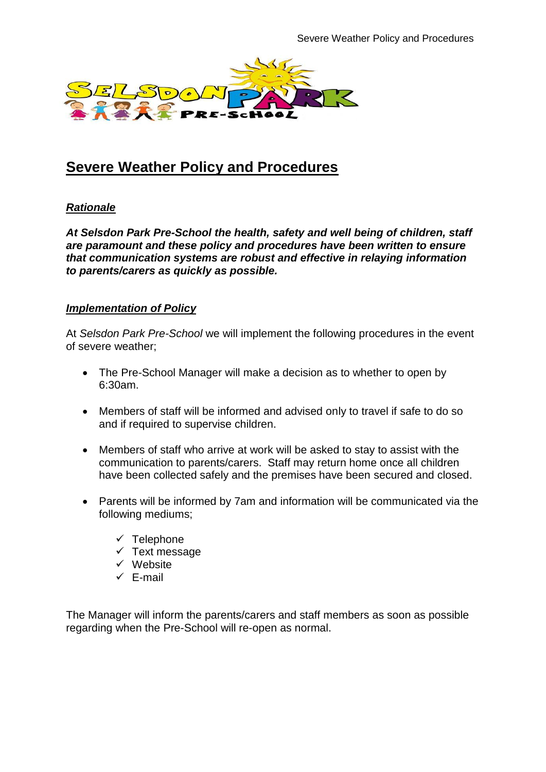

# **Severe Weather Policy and Procedures**

## *Rationale*

*At Selsdon Park Pre-School the health, safety and well being of children, staff are paramount and these policy and procedures have been written to ensure that communication systems are robust and effective in relaying information to parents/carers as quickly as possible.*

## *Implementation of Policy*

At *Selsdon Park Pre-School* we will implement the following procedures in the event of severe weather;

- The Pre-School Manager will make a decision as to whether to open by 6:30am.
- Members of staff will be informed and advised only to travel if safe to do so and if required to supervise children.
- Members of staff who arrive at work will be asked to stay to assist with the communication to parents/carers. Staff may return home once all children have been collected safely and the premises have been secured and closed.
- Parents will be informed by 7am and information will be communicated via the following mediums;
	- $\checkmark$  Telephone
	- $\checkmark$  Text message
	- $\checkmark$  Website
	- $\checkmark$  E-mail

The Manager will inform the parents/carers and staff members as soon as possible regarding when the Pre-School will re-open as normal.